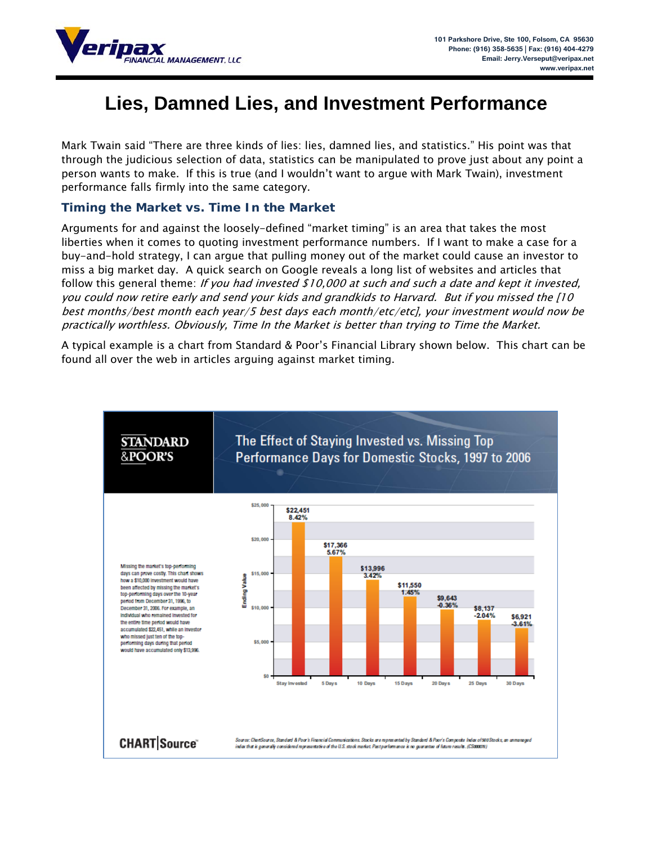

# **Lies, Damned Lies, and Investment Performance**

Mark Twain said "There are three kinds of lies: lies, damned lies, and statistics." His point was that through the judicious selection of data, statistics can be manipulated to prove just about any point a person wants to make. If this is true (and I wouldn't want to argue with Mark Twain), investment performance falls firmly into the same category.

### **Timing the Market vs. Time In the Market**

Arguments for and against the loosely-defined "market timing" is an area that takes the most liberties when it comes to quoting investment performance numbers. If I want to make a case for a buy-and-hold strategy, I can argue that pulling money out of the market could cause an investor to miss a big market day. A quick search on Google reveals a long list of websites and articles that follow this general theme: If you had invested \$10,000 at such and such a date and kept it invested, you could now retire early and send your kids and grandkids to Harvard. But if you missed the [10 best months/best month each year/5 best days each month/etc/etc], your investment would now be practically worthless. Obviously, Time In the Market is better than trying to Time the Market.

A typical example is a chart from Standard & Poor's Financial Library shown below. This chart can be found all over the web in articles arguing against market timing.

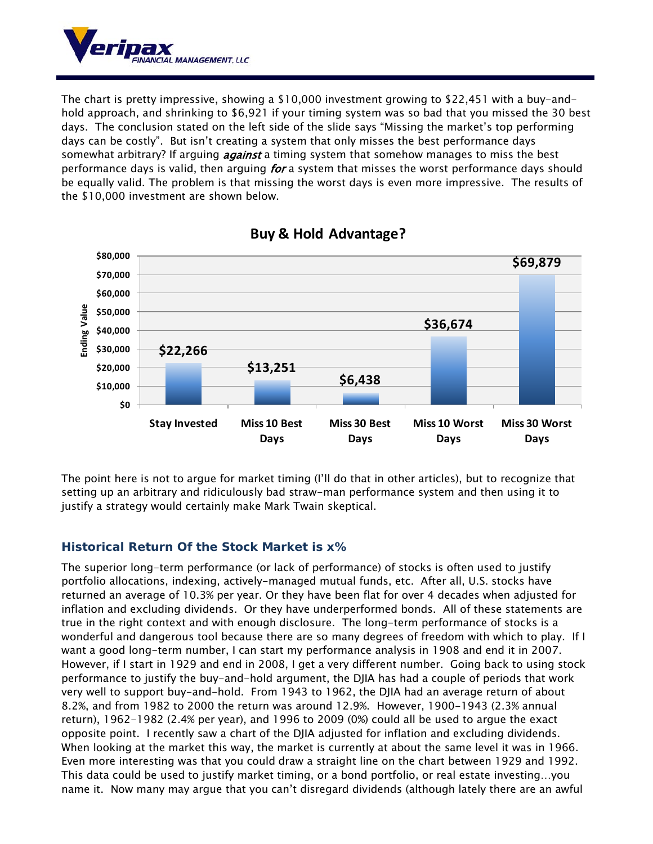

The chart is pretty impressive, showing a \$10,000 investment growing to \$22,451 with a buy-andhold approach, and shrinking to \$6,921 if your timing system was so bad that you missed the 30 best days. The conclusion stated on the left side of the slide says "Missing the market's top performing days can be costly". But isn't creating a system that only misses the best performance days somewhat arbitrary? If arguing *against* a timing system that somehow manages to miss the best performance days is valid, then arguing *for* a system that misses the worst performance days should be equally valid. The problem is that missing the worst days is even more impressive. The results of the \$10,000 investment are shown below.



## **Buy & Hold Advantage?**

The point here is not to argue for market timing (I'll do that in other articles), but to recognize that setting up an arbitrary and ridiculously bad straw-man performance system and then using it to justify a strategy would certainly make Mark Twain skeptical.

## **Historical Return Of the Stock Market is x%**

The superior long-term performance (or lack of performance) of stocks is often used to justify portfolio allocations, indexing, actively-managed mutual funds, etc. After all, U.S. stocks have returned an average of 10.3% per year. Or they have been flat for over 4 decades when adjusted for inflation and excluding dividends. Or they have underperformed bonds. All of these statements are true in the right context and with enough disclosure. The long-term performance of stocks is a wonderful and dangerous tool because there are so many degrees of freedom with which to play. If I want a good long-term number, I can start my performance analysis in 1908 and end it in 2007. However, if I start in 1929 and end in 2008, I get a very different number. Going back to using stock performance to justify the buy-and-hold argument, the DJIA has had a couple of periods that work very well to support buy-and-hold. From 1943 to 1962, the DJIA had an average return of about 8.2%, and from 1982 to 2000 the return was around 12.9%. However, 1900-1943 (2.3% annual return), 1962-1982 (2.4% per year), and 1996 to 2009 (0%) could all be used to argue the exact opposite point. I recently saw a chart of the DJIA adjusted for inflation and excluding dividends. When looking at the market this way, the market is currently at about the same level it was in 1966. Even more interesting was that you could draw a straight line on the chart between 1929 and 1992. This data could be used to justify market timing, or a bond portfolio, or real estate investing…you name it. Now many may argue that you can't disregard dividends (although lately there are an awful